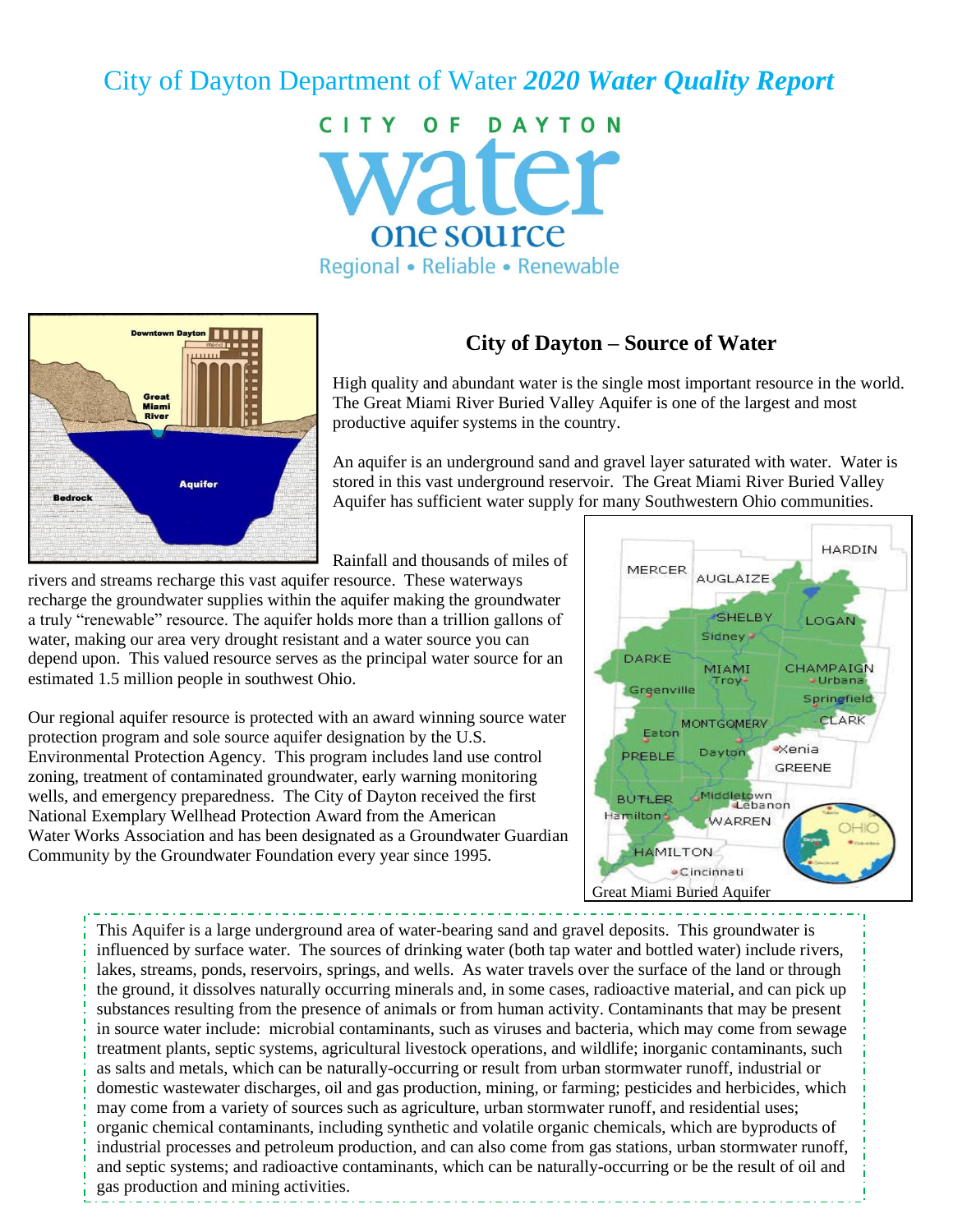# City of Dayton Department of Water *2020 Water Quality Report*

CITY OF DAYTON vater one source Regional • Reliable • Renewable



# **City of Dayton – Source of Water**

High quality and abundant water is the single most important resource in the world. The Great Miami River Buried Valley Aquifer is one of the largest and most productive aquifer systems in the country.

An aquifer is an underground sand and gravel layer saturated with water. Water is stored in this vast underground reservoir. The Great Miami River Buried Valley Aquifer has sufficient water supply for many Southwestern Ohio communities.

Rainfall and thousands of miles of

rivers and streams recharge this vast aquifer resource. These waterways recharge the groundwater supplies within the aquifer making the groundwater a truly "renewable" resource. The aquifer holds more than a trillion gallons of water, making our area very drought resistant and a water source you can depend upon. This valued resource serves as the principal water source for an estimated 1.5 million people in southwest Ohio.

Our regional aquifer resource is protected with an award winning source water protection program and sole source aquifer designation by the U.S. Environmental Protection Agency. This program includes land use control zoning, treatment of contaminated groundwater, early warning monitoring wells, and emergency preparedness. The City of Dayton received the first National Exemplary Wellhead Protection Award from the American Water Works Association and has been designated as a Groundwater Guardian Community by the Groundwater Foundation every year since 1995.



This Aquifer is a large underground area of water-bearing sand and gravel deposits. This groundwater is influenced by surface water. The sources of drinking water (both tap water and bottled water) include rivers, lakes, streams, ponds, reservoirs, springs, and wells. As water travels over the surface of the land or through the ground, it dissolves naturally occurring minerals and, in some cases, radioactive material, and can pick up substances resulting from the presence of animals or from human activity. Contaminants that may be present in source water include: microbial contaminants, such as viruses and bacteria, which may come from sewage treatment plants, septic systems, agricultural livestock operations, and wildlife; inorganic contaminants, such as salts and metals, which can be naturally-occurring or result from urban stormwater runoff, industrial or domestic wastewater discharges, oil and gas production, mining, or farming; pesticides and herbicides, which may come from a variety of sources such as agriculture, urban stormwater runoff, and residential uses; organic chemical contaminants, including synthetic and volatile organic chemicals, which are byproducts of industrial processes and petroleum production, and can also come from gas stations, urban stormwater runoff, and septic systems; and radioactive contaminants, which can be naturally-occurring or be the result of oil and gas production and mining activities.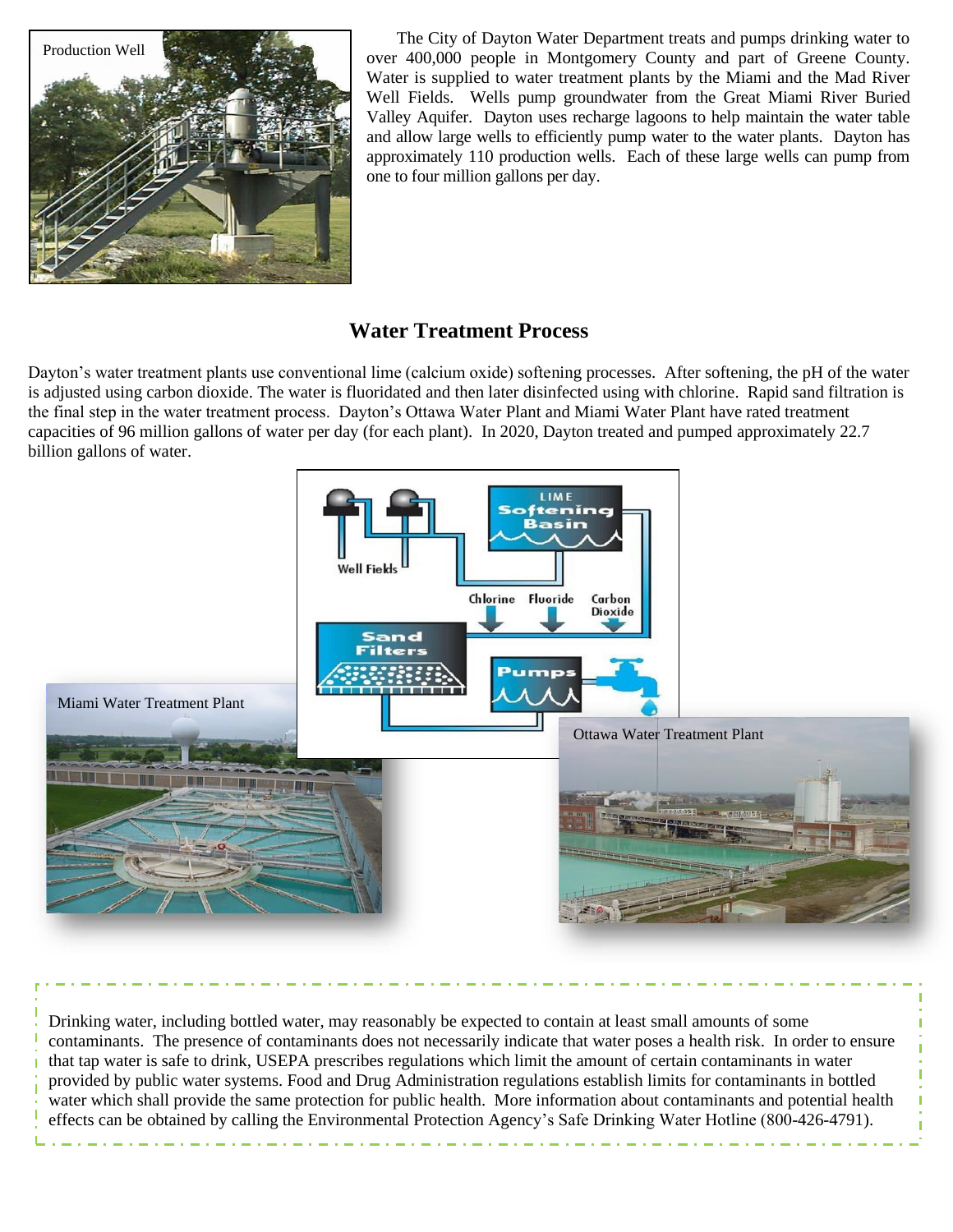

The City of Dayton Water Department treats and pumps drinking water to over 400,000 people in Montgomery County and part of Greene County. Water is supplied to water treatment plants by the Miami and the Mad River Well Fields. Wells pump groundwater from the Great Miami River Buried Valley Aquifer. Dayton uses recharge lagoons to help maintain the water table and allow large wells to efficiently pump water to the water plants. Dayton has approximately 110 production wells. Each of these large wells can pump from one to four million gallons per day.

# **Water Treatment Process**

Dayton's water treatment plants use conventional lime (calcium oxide) softening processes. After softening, the pH of the water is adjusted using carbon dioxide. The water is fluoridated and then later disinfected using with chlorine. Rapid sand filtration is the final step in the water treatment process. Dayton's Ottawa Water Plant and Miami Water Plant have rated treatment capacities of 96 million gallons of water per day (for each plant). In 2020, Dayton treated and pumped approximately 22.7 billion gallons of water.



Drinking water, including bottled water, may reasonably be expected to contain at least small amounts of some contaminants. The presence of contaminants does not necessarily indicate that water poses a health risk. In order to ensure that tap water is safe to drink, USEPA prescribes regulations which limit the amount of certain contaminants in water provided by public water systems. Food and Drug Administration regulations establish limits for contaminants in bottled water which shall provide the same protection for public health. More information about contaminants and potential health effects can be obtained by calling the Environmental Protection Agency's Safe Drinking Water Hotline (800-426-4791).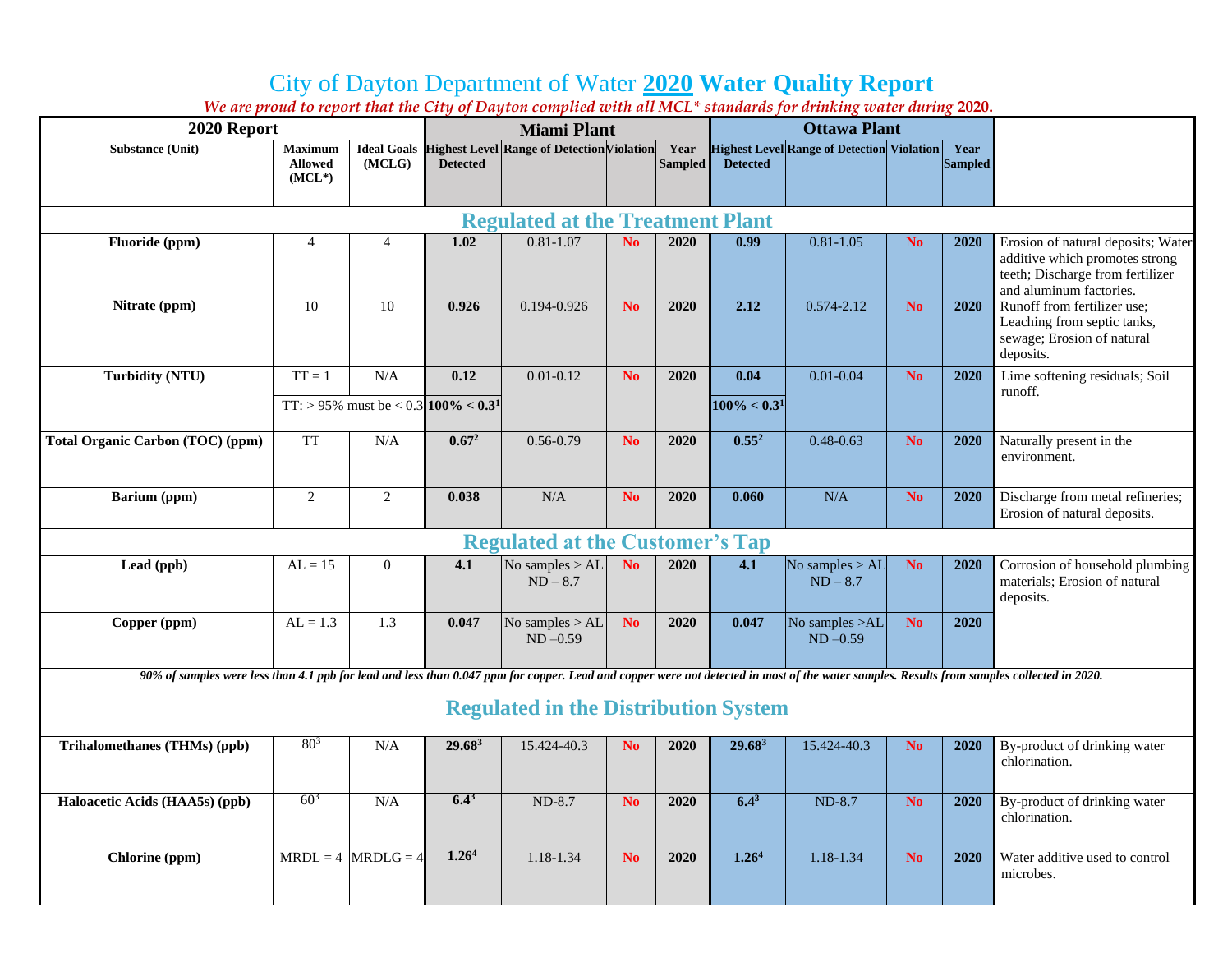# City of Dayton Department of Water **2020 Water Quality Report**

| We are proud to report that the City of Dayton complied with all MCL" standards for arinking water during 2020.                                                                            |                                              |                |                                                 |                                                               |                |                        |                 |                                                   |                |                        |                                                                                                                                     |
|--------------------------------------------------------------------------------------------------------------------------------------------------------------------------------------------|----------------------------------------------|----------------|-------------------------------------------------|---------------------------------------------------------------|----------------|------------------------|-----------------|---------------------------------------------------|----------------|------------------------|-------------------------------------------------------------------------------------------------------------------------------------|
| 2020 Report                                                                                                                                                                                | <b>Miami Plant</b>                           |                |                                                 |                                                               |                | <b>Ottawa Plant</b>    |                 |                                                   |                |                        |                                                                                                                                     |
| <b>Substance (Unit)</b>                                                                                                                                                                    | <b>Maximum</b><br><b>Allowed</b><br>$(MCL*)$ | (MCLG)         | <b>Detected</b>                                 | <b>Ideal Goals Highest Level Range of Detection Violation</b> |                | Year<br><b>Sampled</b> | <b>Detected</b> | <b>Highest Level Range of Detection Violation</b> |                | Year<br><b>Sampled</b> |                                                                                                                                     |
| <b>Regulated at the Treatment Plant</b>                                                                                                                                                    |                                              |                |                                                 |                                                               |                |                        |                 |                                                   |                |                        |                                                                                                                                     |
| Fluoride (ppm)                                                                                                                                                                             | $\overline{4}$                               | 4              | 1.02                                            | $0.81 - 1.07$                                                 | N <sub>o</sub> | 2020                   | 0.99            | $0.81 - 1.05$                                     | N <sub>o</sub> | 2020                   | Erosion of natural deposits; Water<br>additive which promotes strong<br>teeth; Discharge from fertilizer<br>and aluminum factories. |
| Nitrate (ppm)                                                                                                                                                                              | 10                                           | 10             | 0.926                                           | 0.194-0.926                                                   | N <sub>o</sub> | 2020                   | 2.12            | $0.574 - 2.12$                                    | No.            | 2020                   | Runoff from fertilizer use;<br>Leaching from septic tanks,<br>sewage; Erosion of natural<br>deposits.                               |
| <b>Turbidity (NTU)</b>                                                                                                                                                                     | $TT = 1$                                     | N/A            | 0.12                                            | $0.01 - 0.12$                                                 | N <sub>o</sub> | 2020                   | 0.04            | $0.01 - 0.04$                                     | No.            | 2020                   | Lime softening residuals; Soil                                                                                                      |
|                                                                                                                                                                                            |                                              |                | TT: > 95% must be < 0.3 100% < 0.3 <sup>1</sup> |                                                               |                |                        | $100\% < 0.31$  |                                                   |                |                        | runoff.                                                                                                                             |
| <b>Total Organic Carbon (TOC) (ppm)</b>                                                                                                                                                    | <b>TT</b>                                    | N/A            | $0.67^2$                                        | $0.56 - 0.79$                                                 | N <sub>o</sub> | 2020                   | $0.55^2$        | $0.48 - 0.63$                                     | No             | 2020                   | Naturally present in the<br>environment.                                                                                            |
| Barium (ppm)                                                                                                                                                                               | $\sqrt{2}$                                   | $\overline{c}$ | 0.038                                           | $\rm N/A$                                                     | N <sub>o</sub> | 2020                   | 0.060           | N/A                                               | No.            | 2020                   | Discharge from metal refineries;<br>Erosion of natural deposits.                                                                    |
| <b>Regulated at the Customer's Tap</b>                                                                                                                                                     |                                              |                |                                                 |                                                               |                |                        |                 |                                                   |                |                        |                                                                                                                                     |
| Lead (ppb)                                                                                                                                                                                 | $AL = 15$                                    | $\overline{0}$ | 4.1                                             | No samples $>$ AL<br>$ND-8.7$                                 | N <sub>o</sub> | 2020                   | 4.1             | No samples $>$ AL<br>$ND - 8.7$                   | N <sub>o</sub> | 2020                   | Corrosion of household plumbing<br>materials; Erosion of natural<br>deposits.                                                       |
| Copper (ppm)                                                                                                                                                                               | $AL = 1.3$                                   | 1.3            | 0.047                                           | No samples $>$ AL<br>$ND -0.59$                               | N <sub>o</sub> | 2020                   | 0.047           | No samples >AL<br>$ND -0.59$                      | No.            | 2020                   |                                                                                                                                     |
| 90% of samples were less than 4.1 ppb for lead and less than 0.047 ppm for copper. Lead and copper were not detected in most of the water samples. Results from samples collected in 2020. |                                              |                |                                                 |                                                               |                |                        |                 |                                                   |                |                        |                                                                                                                                     |
| <b>Regulated in the Distribution System</b>                                                                                                                                                |                                              |                |                                                 |                                                               |                |                        |                 |                                                   |                |                        |                                                                                                                                     |

*We are proud to report that the City of Dayton complied with all MCL\* standards for drinking water during* **2020.**

| Trihalomethanes (THMs) (ppb)   | $80^{3}$ | N/A                    | 29.68 <sup>3</sup> | 15.424-40.3 | N <sub>0</sub> | 2020 | $29.68^3$         | 15.424-40.3 | N <sub>0</sub> | 2020 | By-product of drinking water<br>chlorination. |
|--------------------------------|----------|------------------------|--------------------|-------------|----------------|------|-------------------|-------------|----------------|------|-----------------------------------------------|
| Haloacetic Acids (HAA5s) (ppb) | $60^{3}$ | N/A                    | $6.4^{\circ}$      | $ND-8.7$    | N <sub>0</sub> | 2020 | $6.4^{3}$         | $ND-8.7$    | N <sub>0</sub> | 2020 | By-product of drinking water<br>chlorination. |
| Chlorine (ppm)                 |          | $MRDL = 4$ $MRDLG = 4$ | 1.26 <sup>4</sup>  | 1.18-1.34   | N <sub>0</sub> | 2020 | 1.26 <sup>4</sup> | 1.18-1.34   | N <sub>0</sub> | 2020 | Water additive used to control<br>microbes.   |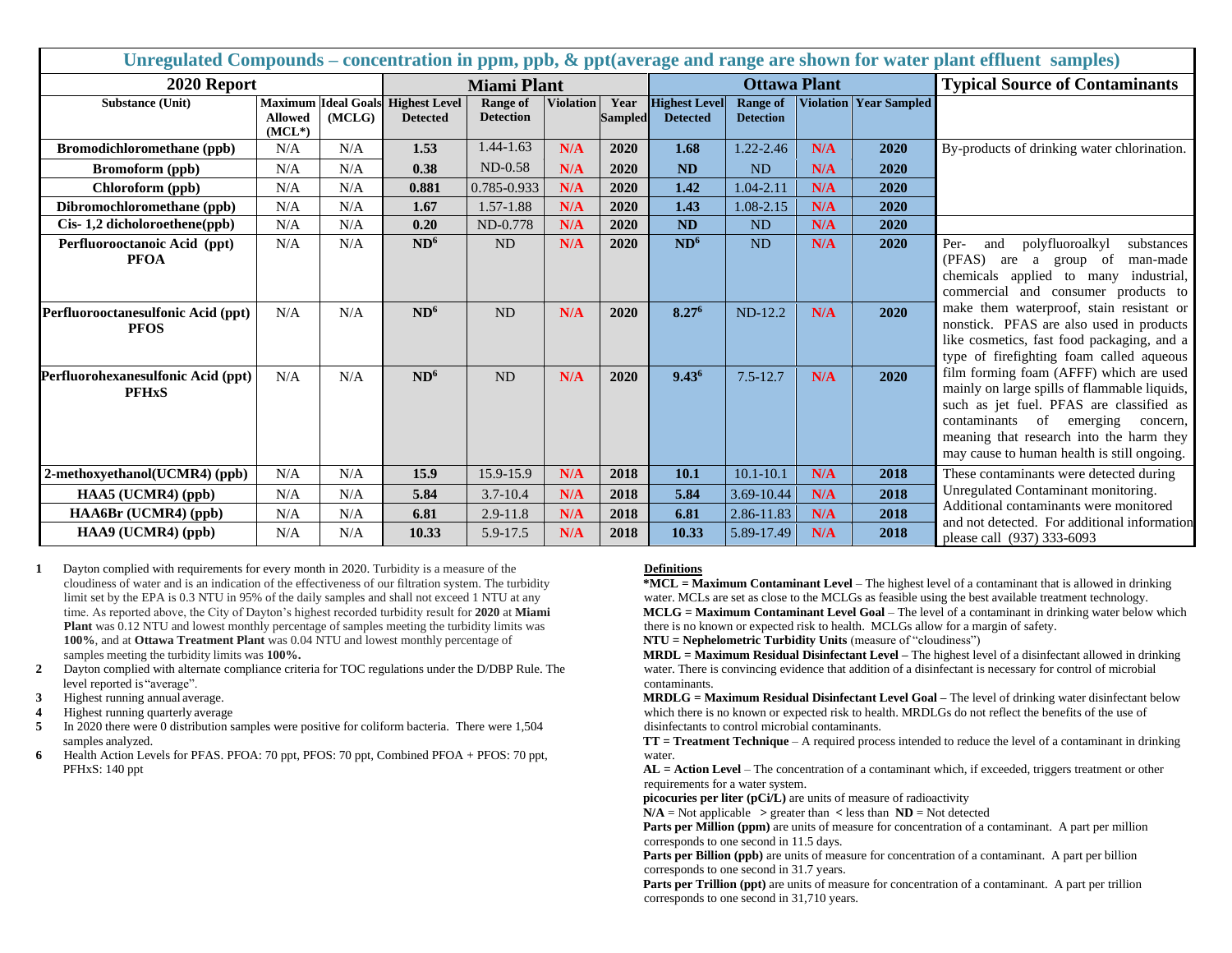| Unregulated Compounds – concentration in ppm, ppb, & ppt(average and range are shown for water plant effluent samples) |                            |        |                                                             |                                     |                  |                        |                                         |                  |                                       |                                            |                                                                                                                                                                                                                                                                           |
|------------------------------------------------------------------------------------------------------------------------|----------------------------|--------|-------------------------------------------------------------|-------------------------------------|------------------|------------------------|-----------------------------------------|------------------|---------------------------------------|--------------------------------------------|---------------------------------------------------------------------------------------------------------------------------------------------------------------------------------------------------------------------------------------------------------------------------|
| 2020 Report                                                                                                            | <b>Miami Plant</b>         |        |                                                             |                                     |                  | <b>Ottawa Plant</b>    |                                         |                  | <b>Typical Source of Contaminants</b> |                                            |                                                                                                                                                                                                                                                                           |
| <b>Substance (Unit)</b>                                                                                                | <b>Allowed</b><br>$(MCL*)$ | (MCLG) | <b>Maximum Ideal Goals Highest Level</b><br><b>Detected</b> | <b>Range of</b><br><b>Detection</b> | <b>Violation</b> | Year<br><b>Sampled</b> | <b>Highest Level</b><br><b>Detected</b> | <b>Detection</b> |                                       | <b>Range of   Violation   Year Sampled</b> |                                                                                                                                                                                                                                                                           |
| <b>Bromodichloromethane</b> (ppb)                                                                                      | N/A                        | N/A    | 1.53                                                        | $1.44 - 1.63$                       | N/A              | 2020                   | 1.68                                    | $1.22 - 2.46$    | N/A                                   | 2020                                       | By-products of drinking water chlorination.                                                                                                                                                                                                                               |
| <b>Bromoform</b> (ppb)                                                                                                 | N/A                        | N/A    | 0.38                                                        | $ND-0.58$                           | N/A              | 2020                   | <b>ND</b>                               | ND               | N/A                                   | 2020                                       |                                                                                                                                                                                                                                                                           |
| Chloroform (ppb)                                                                                                       | N/A                        | N/A    | 0.881                                                       | 0.785-0.933                         | N/A              | 2020                   | 1.42                                    | 1.04-2.11        | N/A                                   | 2020                                       |                                                                                                                                                                                                                                                                           |
| Dibromochloromethane (ppb)                                                                                             | N/A                        | N/A    | 1.67                                                        | 1.57-1.88                           | N/A              | 2020                   | 1.43                                    | $1.08 - 2.15$    | N/A                                   | 2020                                       |                                                                                                                                                                                                                                                                           |
| Cis-1,2 dicholoroethene(ppb)                                                                                           | N/A                        | N/A    | 0.20                                                        | ND-0.778                            | N/A              | 2020                   | <b>ND</b>                               | <b>ND</b>        | N/A                                   | 2020                                       |                                                                                                                                                                                                                                                                           |
| Perfluorooctanoic Acid (ppt)<br><b>PFOA</b>                                                                            | N/A                        | N/A    | ND <sup>6</sup>                                             | ND                                  | N/A              | 2020                   | ND <sup>6</sup>                         | ND               | N/A                                   | 2020                                       | Per-<br>polyfluoroalkyl<br>and<br>substances<br>(PFAS)<br>group of<br>are<br>a<br>man-made<br>chemicals applied to many industrial,<br>commercial and consumer products to                                                                                                |
| Perfluorooctanesulfonic Acid (ppt)<br><b>PFOS</b>                                                                      | N/A                        | N/A    | ND <sup>6</sup>                                             | ND                                  | N/A              | 2020                   | 8.276                                   | $ND-12.2$        | N/A                                   | 2020                                       | make them waterproof, stain resistant or<br>nonstick. PFAS are also used in products<br>like cosmetics, fast food packaging, and a<br>type of firefighting foam called aqueous                                                                                            |
| Perfluorohexanesulfonic Acid (ppt)<br><b>PFHxS</b>                                                                     | N/A                        | N/A    | ND <sup>6</sup>                                             | <b>ND</b>                           | N/A              | 2020                   | $9.43^{6}$                              | $7.5 - 12.7$     | N/A                                   | 2020                                       | film forming foam (AFFF) which are used<br>mainly on large spills of flammable liquids,<br>such as jet fuel. PFAS are classified as<br>of emerging<br>contaminants<br>concern,<br>meaning that research into the harm they<br>may cause to human health is still ongoing. |
| 2-methoxyethanol(UCMR4) (ppb)                                                                                          | N/A                        | N/A    | 15.9                                                        | 15.9-15.9                           | N/A              | 2018                   | 10.1                                    | $10.1 - 10.1$    | N/A                                   | 2018                                       | These contaminants were detected during                                                                                                                                                                                                                                   |
| HAA5 (UCMR4) (ppb)                                                                                                     | N/A                        | N/A    | 5.84                                                        | $3.7 - 10.4$                        | N/A              | 2018                   | 5.84                                    | 3.69-10.44       | N/A                                   | 2018                                       | Unregulated Contaminant monitoring.                                                                                                                                                                                                                                       |
| HAA6Br (UCMR4) (ppb)                                                                                                   | N/A                        | N/A    | 6.81                                                        | 2.9-11.8                            | N/A              | 2018                   | 6.81                                    | 2.86-11.83       | N/A                                   | 2018                                       | Additional contaminants were monitored<br>and not detected. For additional information                                                                                                                                                                                    |
| HAA9 (UCMR4) (ppb)                                                                                                     | N/A                        | N/A    | 10.33                                                       | 5.9-17.5                            | N/A              | 2018                   | 10.33                                   | 5.89-17.49       | N/A                                   | 2018                                       | please call (937) 333-6093                                                                                                                                                                                                                                                |

**1** Dayton complied with requirements for every month in 2020. Turbidity is a measure of the cloudiness of water and is an indication of the effectiveness of our filtration system. The turbidity limit set by the EPA is 0.3 NTU in 95% of the daily samples and shall not exceed 1 NTU at any time. As reported above, the City of Dayton's highest recorded turbidity result for **2020** at **Miami Plant** was 0.12 NTU and lowest monthly percentage of samples meeting the turbidity limits was **100%**, and at **Ottawa Treatment Plant** was 0.04 NTU and lowest monthly percentage of samples meeting the turbidity limits was **100%.**

- **2** Dayton complied with alternate compliance criteria for TOC regulations under the D/DBP Rule. The level reported is "average".
- **3** Highest running annual average.
- **4** Highest running quarterly average

**5** In 2020 there were 0 distribution samples were positive for coliform bacteria. There were 1,504 samples analyzed.

**6** Health Action Levels for PFAS. PFOA: 70 ppt, PFOS: 70 ppt, Combined PFOA + PFOS: 70 ppt, PFHxS: 140 ppt

#### **Definitions**

**\*MCL = Maximum Contaminant Level** – The highest level of a contaminant that is allowed in drinking water. MCLs are set as close to the MCLGs as feasible using the best available treatment technology. **MCLG = Maximum Contaminant Level Goal** – The level of a contaminant in drinking water below which there is no known or expected risk to health. MCLGs allow for a margin of safety.

**NTU = Nephelometric Turbidity Units** (measure of "cloudiness")

**MRDL = Maximum Residual Disinfectant Level –** The highest level of a disinfectant allowed in drinking water. There is convincing evidence that addition of a disinfectant is necessary for control of microbial contaminants.

**MRDLG = Maximum Residual Disinfectant Level Goal –** The level of drinking water disinfectant below which there is no known or expected risk to health. MRDLGs do not reflect the benefits of the use of disinfectants to control microbial contaminants.

**TT = Treatment Technique** – A required process intended to reduce the level of a contaminant in drinking water.

**AL = Action Level** – The concentration of a contaminant which, if exceeded, triggers treatment or other requirements for a water system.

**picocuries per liter (pCi/L)** are units of measure of radioactivity

 $N/A$  = Not applicable  $\ge$  greater than  $\lt$  less than  $ND$  = Not detected

**Parts per Million (ppm)** are units of measure for concentration of a contaminant. A part per million corresponds to one second in 11.5 days.

**Parts per Billion (ppb)** are units of measure for concentration of a contaminant. A part per billion corresponds to one second in 31.7 years.

**Parts per Trillion (ppt)** are units of measure for concentration of a contaminant. A part per trillion corresponds to one second in 31,710 years.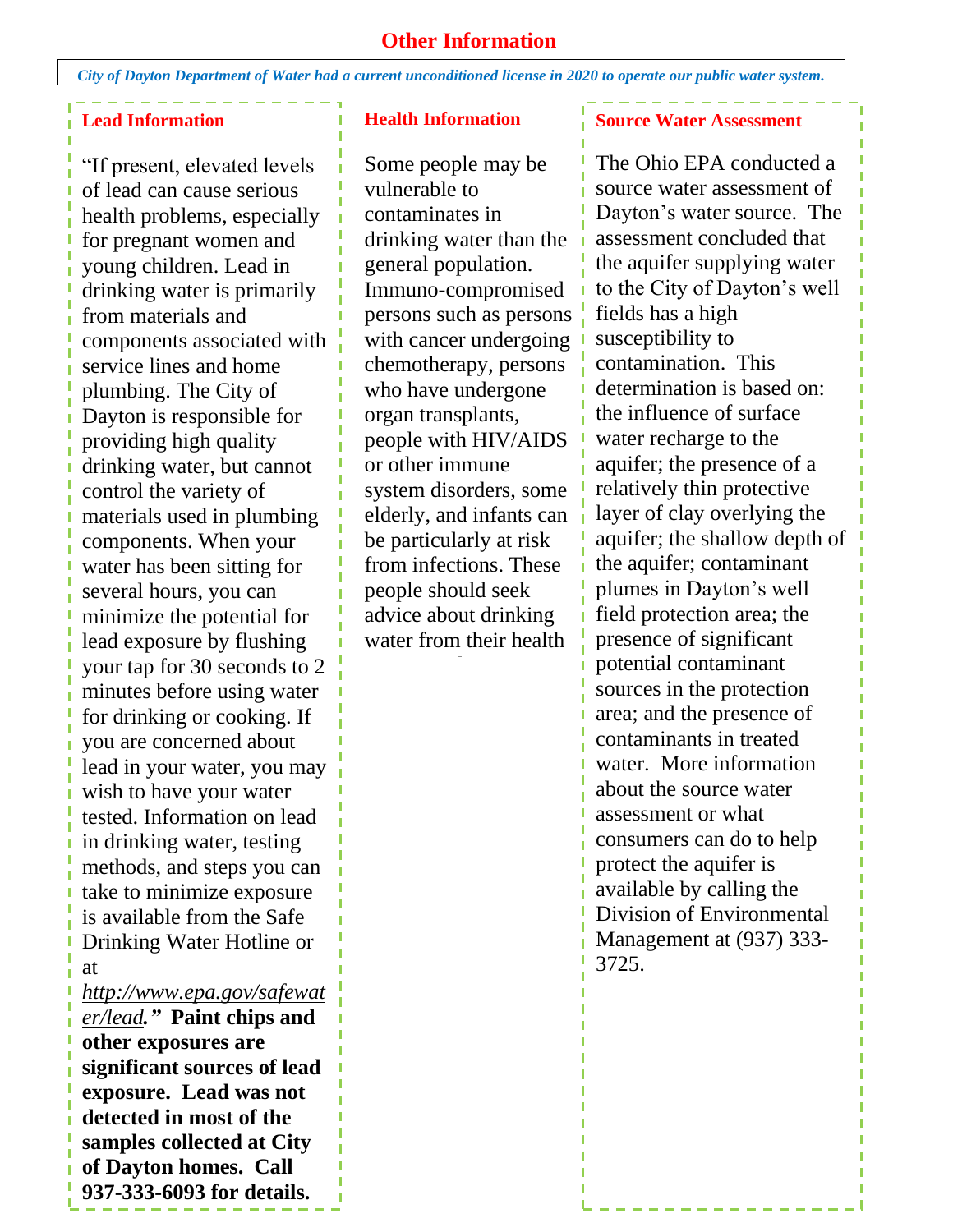## **Other Information**

*City of Dayton Department of Water had a current unconditioned license in 2020 to operate our public water system.*

### **Lead Information**

"If present, elevated levels of lead can cause serious health problems, especially for pregnant women and young children. Lead in drinking water is primarily from materials and components associated with service lines and home plumbing. The City of Dayton is responsible for providing high quality drinking water, but cannot control the variety of materials used in plumbing components. When your water has been sitting for several hours, you can minimize the potential for lead exposure by flushing your tap for 30 seconds to 2 minutes before using water for drinking or cooking. If you are concerned about lead in your water, you may wish to have your water tested. Information on lead in drinking water, testing methods, and steps you can take to minimize exposure is available from the Safe Drinking Water Hotline or at

*[http://www.epa.gov/safewat](http://www.epa.gov/safewater/lead) [er/lead](http://www.epa.gov/safewater/lead)."* **Paint chips and other exposures are significant sources of lead exposure. Lead was not detected in most of the samples collected at City of Dayton homes. Call 937-333-6093 for details.**

#### **Health Information**

Some people may be vulnerable to contaminates in drinking water than the general population. Immuno-compromised persons such as persons with cancer undergoing chemotherapy, persons who have undergone organ transplants, people with HIV/AIDS or other immune system disorders, some elderly, and infants can be particularly at risk from infections. These people should seek advice about drinking water from their health

#### **Source Water Assessment**

The Ohio EPA conducted a source water assessment of Dayton's water source. The assessment concluded that the aquifer supplying water to the City of Dayton's well fields has a high susceptibility to contamination. This determination is based on: the influence of surface water recharge to the aquifer; the presence of a relatively thin protective layer of clay overlying the aquifer; the shallow depth of the aquifer; contaminant plumes in Dayton's well field protection area; the presence of significant potential contaminant sources in the protection area; and the presence of contaminants in treated water. More information about the source water assessment or what consumers can do to help protect the aquifer is available by calling the Division of Environmental Management at (937) 333- 3725.